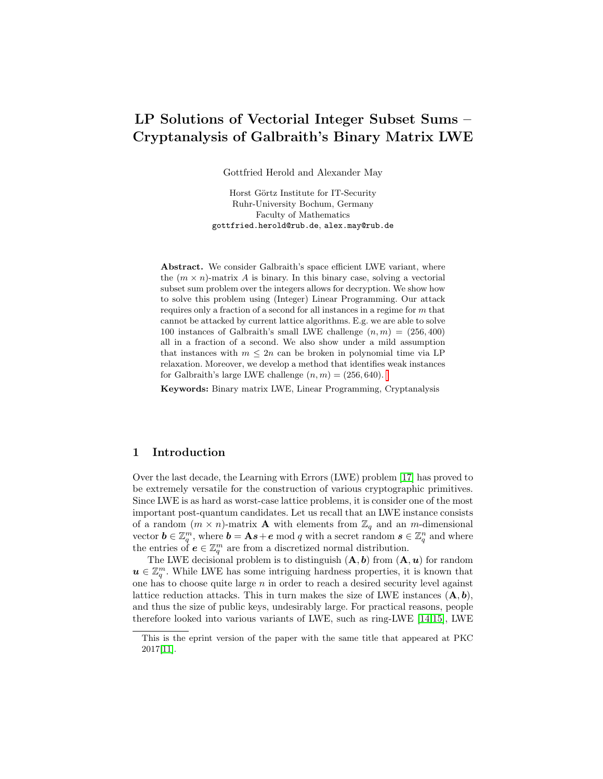# <span id="page-0-0"></span>LP Solutions of Vectorial Integer Subset Sums – Cryptanalysis of Galbraith's Binary Matrix LWE

Gottfried Herold and Alexander May

Horst Görtz Institute for IT-Security Ruhr-University Bochum, Germany Faculty of Mathematics gottfried.herold@rub.de, alex.may@rub.de

Abstract. We consider Galbraith's space efficient LWE variant, where the  $(m \times n)$ -matrix A is binary. In this binary case, solving a vectorial subset sum problem over the integers allows for decryption. We show how to solve this problem using (Integer) Linear Programming. Our attack requires only a fraction of a second for all instances in a regime for  $m$  that cannot be attacked by current lattice algorithms. E.g. we are able to solve 100 instances of Galbraith's small LWE challenge  $(n, m) = (256, 400)$ all in a fraction of a second. We also show under a mild assumption that instances with  $m \leq 2n$  can be broken in polynomial time via LP relaxation. Moreover, we develop a method that identifies weak instances for Galbraith's large LWE challenge  $(n, m) = (256, 640)$ .

Keywords: Binary matrix LWE, Linear Programming, Cryptanalysis

## 1 Introduction

Over the last decade, the Learning with Errors (LWE) problem [\[17\]](#page-12-0) has proved to be extremely versatile for the construction of various cryptographic primitives. Since LWE is as hard as worst-case lattice problems, it is consider one of the most important post-quantum candidates. Let us recall that an LWE instance consists of a random  $(m \times n)$ -matrix **A** with elements from  $\mathbb{Z}_q$  and an m-dimensional vector  $\mathbf{b} \in \mathbb{Z}_q^m$ , where  $\mathbf{b} = \mathbf{A}\mathbf{s} + \mathbf{e} \mod q$  with a secret random  $\mathbf{s} \in \mathbb{Z}_q^n$  and where the entries of  $e \in \mathbb{Z}_q^m$  are from a discretized normal distribution.

The LWE decisional problem is to distinguish  $(A, b)$  from  $(A, u)$  for random  $u \in \mathbb{Z}_q^m$ . While LWE has some intriguing hardness properties, it is known that one has to choose quite large  $n$  in order to reach a desired security level against lattice reduction attacks. This in turn makes the size of LWE instances  $(A, b)$ , and thus the size of public keys, undesirably large. For practical reasons, people therefore looked into various variants of LWE, such as ring-LWE [\[14,](#page-12-1)[15\]](#page-12-2), LWE

This is the eprint version of the paper with the same title that appeared at PKC 2017[\[11\]](#page-12-3).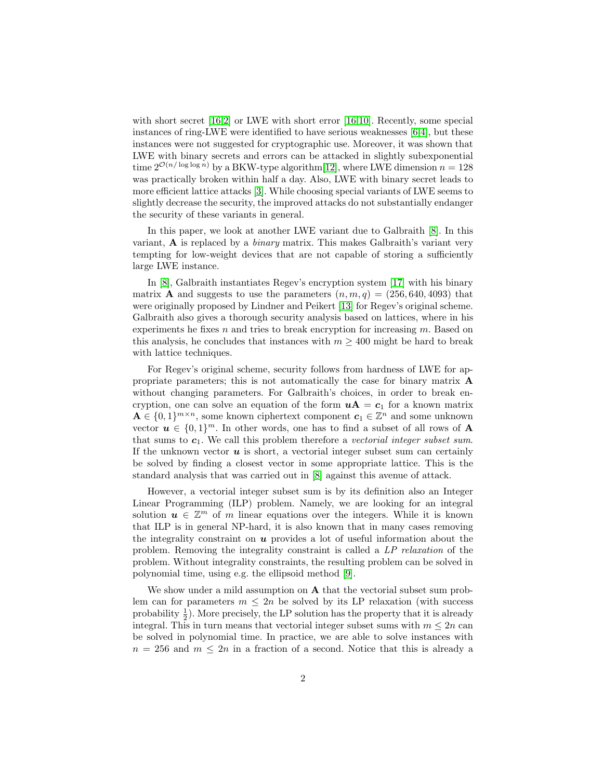<span id="page-1-0"></span>with short secret  $[16,2]$  $[16,2]$  or LWE with short error  $[16,10]$  $[16,10]$ . Recently, some special instances of ring-LWE were identified to have serious weaknesses [\[6,](#page-11-1)[4\]](#page-11-2), but these instances were not suggested for cryptographic use. Moreover, it was shown that LWE with binary secrets and errors can be attacked in slightly subexponential time  $2^{\mathcal{O}(n/\log\log n)}$  by a BKW-type algorithm[\[12\]](#page-12-6), where LWE dimension  $n = 128$ was practically broken within half a day. Also, LWE with binary secret leads to more efficient lattice attacks [\[3\]](#page-11-3). While choosing special variants of LWE seems to slightly decrease the security, the improved attacks do not substantially endanger the security of these variants in general.

In this paper, we look at another LWE variant due to Galbraith [\[8\]](#page-12-7). In this variant,  $\bf{A}$  is replaced by a *binary* matrix. This makes Galbraith's variant very tempting for low-weight devices that are not capable of storing a sufficiently large LWE instance.

In [\[8\]](#page-12-7), Galbraith instantiates Regev's encryption system [\[17\]](#page-12-0) with his binary matrix **A** and suggests to use the parameters  $(n, m, q) = (256, 640, 4093)$  that were originally proposed by Lindner and Peikert [\[13\]](#page-12-8) for Regev's original scheme. Galbraith also gives a thorough security analysis based on lattices, where in his experiments he fixes  $n$  and tries to break encryption for increasing  $m$ . Based on this analysis, he concludes that instances with  $m \geq 400$  might be hard to break with lattice techniques.

For Regev's original scheme, security follows from hardness of LWE for appropriate parameters; this is not automatically the case for binary matrix A without changing parameters. For Galbraith's choices, in order to break encryption, one can solve an equation of the form  $uA = c_1$  for a known matrix  $\mathbf{A} \in \{0,1\}^{m \times n}$ , some known ciphertext component  $\mathbf{c}_1 \in \mathbb{Z}^n$  and some unknown vector  $u \in \{0,1\}^m$ . In other words, one has to find a subset of all rows of A that sums to  $c_1$ . We call this problem therefore a vectorial integer subset sum. If the unknown vector  $u$  is short, a vectorial integer subset sum can certainly be solved by finding a closest vector in some appropriate lattice. This is the standard analysis that was carried out in [\[8\]](#page-12-7) against this avenue of attack.

However, a vectorial integer subset sum is by its definition also an Integer Linear Programming (ILP) problem. Namely, we are looking for an integral solution  $u \in \mathbb{Z}^m$  of m linear equations over the integers. While it is known that ILP is in general NP-hard, it is also known that in many cases removing the integrality constraint on  $u$  provides a lot of useful information about the problem. Removing the integrality constraint is called a LP relaxation of the problem. Without integrality constraints, the resulting problem can be solved in polynomial time, using e.g. the ellipsoid method [\[9\]](#page-12-9).

We show under a mild assumption on **A** that the vectorial subset sum problem can for parameters  $m \leq 2n$  be solved by its LP relaxation (with success probability  $\frac{1}{2}$ ). More precisely, the LP solution has the property that it is already integral. This in turn means that vectorial integer subset sums with  $m \leq 2n$  can be solved in polynomial time. In practice, we are able to solve instances with  $n = 256$  and  $m \leq 2n$  in a fraction of a second. Notice that this is already a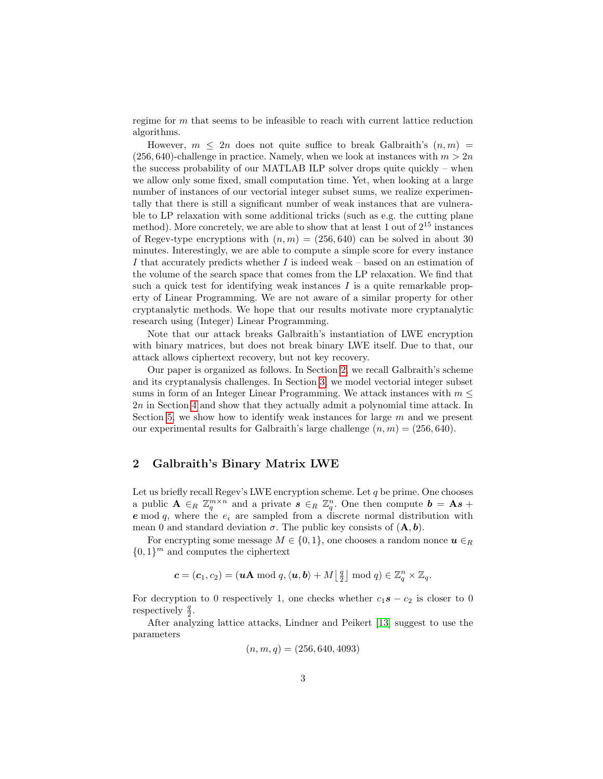<span id="page-2-1"></span>regime for m that seems to be infeasible to reach with current lattice reduction algorithms.

However,  $m \leq 2n$  does not quite suffice to break Galbraith's  $(n, m)$  $(256, 640)$ -challenge in practice. Namely, when we look at instances with  $m > 2n$ the success probability of our MATLAB ILP solver drops quite quickly – when we allow only some fixed, small computation time. Yet, when looking at a large number of instances of our vectorial integer subset sums, we realize experimentally that there is still a significant number of weak instances that are vulnerable to LP relaxation with some additional tricks (such as e.g. the cutting plane method). More concretely, we are able to show that at least 1 out of  $2^{15}$  instances of Regev-type encryptions with  $(n, m) = (256, 640)$  can be solved in about 30 minutes. Interestingly, we are able to compute a simple score for every instance I that accurately predicts whether I is indeed weak – based on an estimation of the volume of the search space that comes from the LP relaxation. We find that such a quick test for identifying weak instances  $I$  is a quite remarkable property of Linear Programming. We are not aware of a similar property for other cryptanalytic methods. We hope that our results motivate more cryptanalytic research using (Integer) Linear Programming.

Note that our attack breaks Galbraith's instantiation of LWE encryption with binary matrices, but does not break binary LWE itself. Due to that, our attack allows ciphertext recovery, but not key recovery.

Our paper is organized as follows. In Section [2,](#page-2-0) we recall Galbraith's scheme and its cryptanalysis challenges. In Section [3,](#page-4-0) we model vectorial integer subset sums in form of an Integer Linear Programming. We attack instances with  $m \leq$ 2n in Section [4](#page-5-0) and show that they actually admit a polynomial time attack. In Section [5,](#page-7-0) we show how to identify weak instances for large  $m$  and we present our experimental results for Galbraith's large challenge  $(n, m) = (256, 640)$ .

### <span id="page-2-0"></span>2 Galbraith's Binary Matrix LWE

Let us briefly recall Regev's LWE encryption scheme. Let  $q$  be prime. One chooses a public  $\mathbf{A} \in_R \mathbb{Z}_q^{m \times n}$  and a private  $\mathbf{s} \in_R \mathbb{Z}_q^n$ . One then compute  $\mathbf{b} = \mathbf{A}\mathbf{s} + \mathbf{A}\mathbf{s}$  $e \mod q$ , where the  $e_i$  are sampled from a discrete normal distribution with mean 0 and standard deviation  $\sigma$ . The public key consists of  $(\mathbf{A}, \mathbf{b})$ .

For encrypting some message  $M \in \{0, 1\}$ , one chooses a random nonce  $u \in_R$  ${0,1}^m$  and computes the ciphertext

$$
\mathbf{c} = (\mathbf{c}_1, \mathbf{c}_2) = (\mathbf{u}\mathbf{A} \bmod q, \langle \mathbf{u}, \mathbf{b} \rangle + M \lfloor \frac{q}{2} \rfloor \bmod q) \in \mathbb{Z}_q^n \times \mathbb{Z}_q.
$$

For decryption to 0 respectively 1, one checks whether  $c_1s - c_2$  is closer to 0 respectively  $\frac{q}{2}$ .

After analyzing lattice attacks, Lindner and Peikert [\[13\]](#page-12-8) suggest to use the parameters

$$
(n, m, q) = (256, 640, 4093)
$$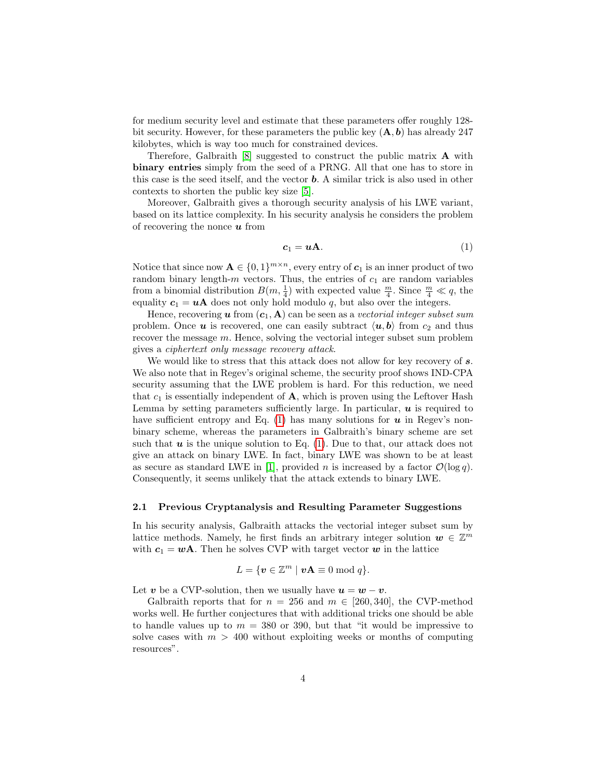<span id="page-3-1"></span>for medium security level and estimate that these parameters offer roughly 128 bit security. However, for these parameters the public key  $(A, b)$  has already 247 kilobytes, which is way too much for constrained devices.

Therefore, Galbraith  $[8]$  suggested to construct the public matrix **A** with binary entries simply from the seed of a PRNG. All that one has to store in this case is the seed itself, and the vector b. A similar trick is also used in other contexts to shorten the public key size [\[5\]](#page-11-4).

Moreover, Galbraith gives a thorough security analysis of his LWE variant, based on its lattice complexity. In his security analysis he considers the problem of recovering the nonce  $\boldsymbol{u}$  from

<span id="page-3-0"></span>
$$
c_1 = uA. \t\t(1)
$$

Notice that since now  $\mathbf{A} \in \{0,1\}^{m \times n}$ , every entry of  $c_1$  is an inner product of two random binary length- $m$  vectors. Thus, the entries of  $c_1$  are random variables from a binomial distribution  $B(m, \frac{1}{4})$  with expected value  $\frac{m}{4}$ . Since  $\frac{m}{4} \ll q$ , the equality  $c_1 = uA$  does not only hold modulo q, but also over the integers.

Hence, recovering  $u$  from  $(c_1, A)$  can be seen as a vectorial integer subset sum problem. Once  $u$  is recovered, one can easily subtract  $\langle u, b \rangle$  from  $c_2$  and thus recover the message m. Hence, solving the vectorial integer subset sum problem gives a ciphertext only message recovery attack.

We would like to stress that this attack does not allow for key recovery of s. We also note that in Regev's original scheme, the security proof shows IND-CPA security assuming that the LWE problem is hard. For this reduction, we need that  $c_1$  is essentially independent of  $\bf{A}$ , which is proven using the Leftover Hash Lemma by setting parameters sufficiently large. In particular,  $\boldsymbol{u}$  is required to have sufficient entropy and Eq.  $(1)$  has many solutions for  $u$  in Regev's nonbinary scheme, whereas the parameters in Galbraith's binary scheme are set such that  $u$  is the unique solution to Eq. [\(1\)](#page-3-0). Due to that, our attack does not give an attack on binary LWE. In fact, binary LWE was shown to be at least as secure as standard LWE in [\[1\]](#page-11-5), provided n is increased by a factor  $\mathcal{O}(\log q)$ . Consequently, it seems unlikely that the attack extends to binary LWE.

#### 2.1 Previous Cryptanalysis and Resulting Parameter Suggestions

In his security analysis, Galbraith attacks the vectorial integer subset sum by lattice methods. Namely, he first finds an arbitrary integer solution  $w \in \mathbb{Z}^m$ with  $c_1 = wA$ . Then he solves CVP with target vector w in the lattice

$$
L = \{ \boldsymbol{v} \in \mathbb{Z}^m \mid \boldsymbol{v} \mathbf{A} \equiv 0 \bmod q \}.
$$

Let v be a CVP-solution, then we usually have  $u = w - v$ .

Galbraith reports that for  $n = 256$  and  $m \in [260, 340]$ , the CVP-method works well. He further conjectures that with additional tricks one should be able to handle values up to  $m = 380$  or 390, but that "it would be impressive to solve cases with  $m > 400$  without exploiting weeks or months of computing resources".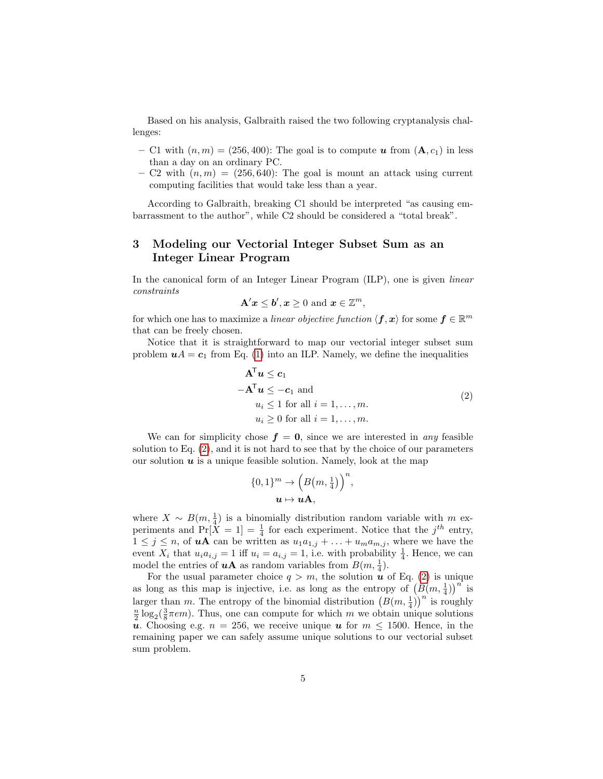Based on his analysis, Galbraith raised the two following cryptanalysis challenges:

- C1 with  $(n, m) = (256, 400)$ : The goal is to compute u from  $(A, c_1)$  in less than a day on an ordinary PC.
- C2 with  $(n, m) = (256, 640)$ : The goal is mount an attack using current computing facilities that would take less than a year.

According to Galbraith, breaking C1 should be interpreted "as causing embarrassment to the author", while C2 should be considered a "total break".

## <span id="page-4-0"></span>3 Modeling our Vectorial Integer Subset Sum as an Integer Linear Program

In the canonical form of an Integer Linear Program (ILP), one is given linear constraints

$$
\mathbf{A}'\boldsymbol{x} \leq \boldsymbol{b}', \boldsymbol{x} \geq 0 \text{ and } \boldsymbol{x} \in \mathbb{Z}^m,
$$

for which one has to maximize a *linear objective function*  $\langle \mathbf{f}, \mathbf{x} \rangle$  for some  $\mathbf{f} \in \mathbb{R}^m$ that can be freely chosen.

Notice that it is straightforward to map our vectorial integer subset sum problem  $uA = c_1$  from Eq. [\(1\)](#page-3-0) into an ILP. Namely, we define the inequalities

<span id="page-4-1"></span>
$$
\mathbf{A}^{\mathsf{T}} \mathbf{u} \le \mathbf{c}_1
$$
  
\n
$$
-\mathbf{A}^{\mathsf{T}} \mathbf{u} \le -\mathbf{c}_1 \text{ and}
$$
  
\n
$$
u_i \le 1 \text{ for all } i = 1, ..., m.
$$
  
\n
$$
u_i \ge 0 \text{ for all } i = 1, ..., m.
$$
  
\n(2)

We can for simplicity chose  $f = 0$ , since we are interested in any feasible solution to Eq. [\(2\)](#page-4-1), and it is not hard to see that by the choice of our parameters our solution  $u$  is a unique feasible solution. Namely, look at the map

$$
\{0,1\}^m \to \left(B\left(m,\frac{1}{4}\right)\right)^n,
$$

$$
u \mapsto u\mathbf{A},
$$

where  $X \sim B(m, \frac{1}{4})$  is a binomially distribution random variable with m experiments and  $Pr[X = 1] = \frac{1}{4}$  for each experiment. Notice that the  $j^{th}$  entry,  $1 \leq j \leq n$ , of **uA** can be written as  $u_1a_{1,j} + \ldots + u_ma_{m,j}$ , where we have the event  $X_i$  that  $u_i a_{i,j} = 1$  iff  $u_i = a_{i,j} = 1$ , i.e. with probability  $\frac{1}{4}$ . Hence, we can model the entries of **uA** as random variables from  $B(m, \frac{1}{4})$ .

For the usual parameter choice  $q > m$ , the solution u of Eq. [\(2\)](#page-4-1) is unique as long as this map is injective, i.e. as long as the entropy of  $(B(m, \frac{1}{4}))^{n}$  is larger than m. The entropy of the binomial distribution  $(B(m, \frac{1}{4}))^n$  is roughly  $\frac{n}{2} \log_2(\frac{3}{8}\pi e m)$ . Thus, one can compute for which m we obtain unique solutions u. Choosing e.g.  $n = 256$ , we receive unique u for  $m \le 1500$ . Hence, in the remaining paper we can safely assume unique solutions to our vectorial subset sum problem.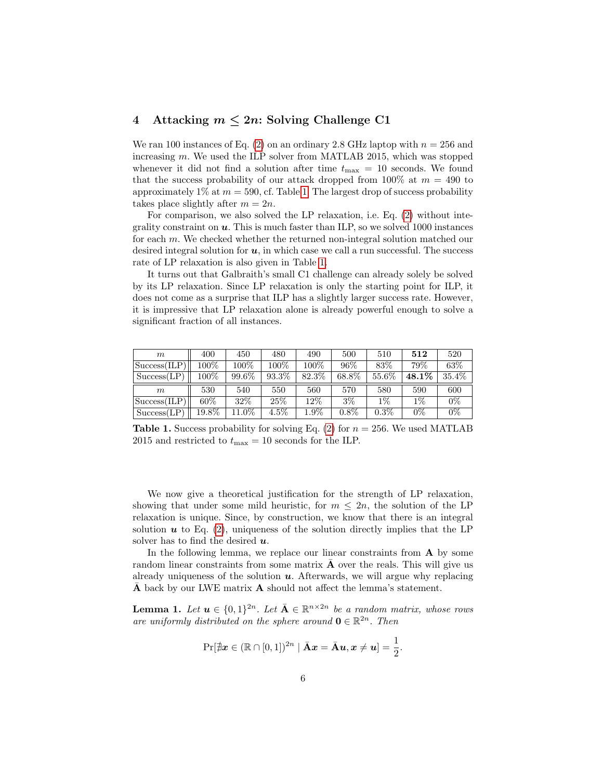## <span id="page-5-0"></span>4 Attacking  $m \leq 2n$ : Solving Challenge C1

We ran 100 instances of Eq. [\(2\)](#page-4-1) on an ordinary 2.8 GHz laptop with  $n = 256$  and increasing m. We used the ILP solver from MATLAB 2015, which was stopped whenever it did not find a solution after time  $t_{\text{max}} = 10$  seconds. We found that the success probability of our attack dropped from 100% at  $m = 490$  to approximately  $1\%$  at  $m = 590$ , cf. Table [1.](#page-5-1) The largest drop of success probability takes place slightly after  $m = 2n$ .

For comparison, we also solved the LP relaxation, i.e. Eq. [\(2\)](#page-4-1) without integrality constraint on  $u$ . This is much faster than ILP, so we solved 1000 instances for each m. We checked whether the returned non-integral solution matched our desired integral solution for  $u$ , in which case we call a run successful. The success rate of LP relaxation is also given in Table [1.](#page-5-1)

It turns out that Galbraith's small C1 challenge can already solely be solved by its LP relaxation. Since LP relaxation is only the starting point for ILP, it does not come as a surprise that ILP has a slightly larger success rate. However, it is impressive that LP relaxation alone is already powerful enough to solve a significant fraction of all instances.

| m                       | 400     | 450     | 480   | 490     | 500      | 510   | 512   | 520   |
|-------------------------|---------|---------|-------|---------|----------|-------|-------|-------|
| Success(ILP)            | $100\%$ | $100\%$ | 100%  | $100\%$ | 96\%     | 83%   | 79%   | 63\%  |
| Success(LP)             | 100%    | 99.6%   | 93.3% | 82.3%   | $68.8\%$ | 55.6% | 48.1% | 35.4% |
|                         |         |         |       |         |          |       |       |       |
| m                       | 530     | 540     | 550   | 560     | 570      | 580   | 590   | 600   |
| $ Success(\text{ILP}) $ | $60\%$  | $32\%$  | 25\%  | $12\%$  | $3\%$    | $1\%$ | $1\%$ | $0\%$ |

<span id="page-5-1"></span>**Table 1.** Success probability for solving Eq. [\(2\)](#page-4-1) for  $n = 256$ . We used MATLAB 2015 and restricted to  $t_{\text{max}} = 10$  seconds for the ILP.

We now give a theoretical justification for the strength of LP relaxation, showing that under some mild heuristic, for  $m \leq 2n$ , the solution of the LP relaxation is unique. Since, by construction, we know that there is an integral solution  $u$  to Eq. [\(2\)](#page-4-1), uniqueness of the solution directly implies that the LP solver has to find the desired  $u$ .

In the following lemma, we replace our linear constraints from A by some random linear constraints from some matrix  $\bf{A}$  over the reals. This will give us already uniqueness of the solution  $u$ . Afterwards, we will argue why replacing A back by our LWE matrix  $A$  should not affect the lemma's statement.

<span id="page-5-2"></span>**Lemma 1.** Let  $u \in \{0,1\}^{2n}$ . Let  $\overline{A} \in \mathbb{R}^{n \times 2n}$  be a random matrix, whose rows are uniformly distributed on the sphere around  $\mathbf{0} \in \mathbb{R}^{2n}$ . Then

$$
\Pr[\nexists x \in (\mathbb{R} \cap [0,1])^{2n} \mid \bar{\mathbf{A}}x = \bar{\mathbf{A}}\mathbf{u}, \mathbf{x} \neq \mathbf{u}] = \frac{1}{2}.
$$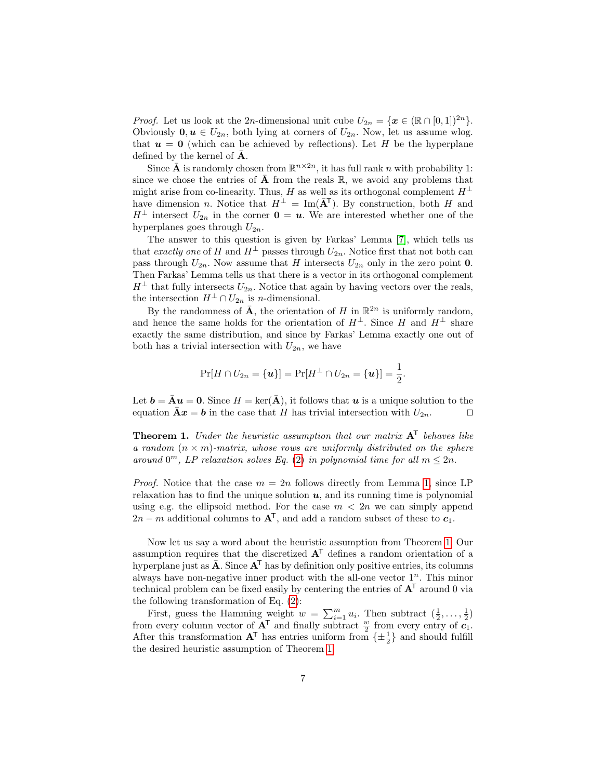<span id="page-6-1"></span>*Proof.* Let us look at the 2n-dimensional unit cube  $U_{2n} = \{x \in (\mathbb{R} \cap [0,1])^{2n}\}.$ Obviously  $0, u \in U_{2n}$ , both lying at corners of  $U_{2n}$ . Now, let us assume wlog. that  $u = 0$  (which can be achieved by reflections). Let H be the hyperplane defined by the kernel of  $A$ .

Since  $\bar{\mathbf{A}}$  is randomly chosen from  $\mathbb{R}^{n\times 2n}$ , it has full rank n with probability 1: since we chose the entries of  $\bar{\mathbf{A}}$  from the reals  $\mathbb{R}$ , we avoid any problems that might arise from co-linearity. Thus, H as well as its orthogonal complement  $H^{\perp}$ have dimension n. Notice that  $H^{\perp} = \text{Im}(\bar{A}^{T})$ . By construction, both H and  $H^{\perp}$  intersect  $U_{2n}$  in the corner  $\mathbf{0} = \mathbf{u}$ . We are interested whether one of the hyperplanes goes through  $U_{2n}$ .

The answer to this question is given by Farkas' Lemma [\[7\]](#page-11-6), which tells us that exactly one of H and  $H^{\perp}$  passes through  $U_{2n}$ . Notice first that not both can pass through  $U_{2n}$ . Now assume that H intersects  $U_{2n}$  only in the zero point 0. Then Farkas' Lemma tells us that there is a vector in its orthogonal complement  $H^{\perp}$  that fully intersects  $U_{2n}$ . Notice that again by having vectors over the reals, the intersection  $H^{\perp} \cap U_{2n}$  is *n*-dimensional.

By the randomness of  $\bar{\mathbf{A}}$ , the orientation of H in  $\mathbb{R}^{2n}$  is uniformly random, and hence the same holds for the orientation of  $H^{\perp}$ . Since H and  $H^{\perp}$  share exactly the same distribution, and since by Farkas' Lemma exactly one out of both has a trivial intersection with  $U_{2n}$ , we have

$$
\Pr[H \cap U_{2n} = {\mathbf{u}}] = \Pr[H^{\perp} \cap U_{2n} = {\mathbf{u}}] = \frac{1}{2}.
$$

Let  $\mathbf{b} = \bar{\mathbf{A}} \mathbf{u} = \mathbf{0}$ . Since  $H = \text{ker}(\bar{\mathbf{A}})$ , it follows that  $\mathbf{u}$  is a unique solution to the equation  $\bar{\mathbf{A}}\mathbf{x} = \mathbf{b}$  in the case that H has trivial intersection with  $U_{2n}$ .

<span id="page-6-0"></span>**Theorem 1.** Under the heuristic assumption that our matrix  $A<sup>T</sup>$  behaves like a random  $(n \times m)$ -matrix, whose rows are uniformly distributed on the sphere around  $0^m$ , LP relaxation solves Eq. [\(2\)](#page-4-1) in polynomial time for all  $m \leq 2n$ .

*Proof.* Notice that the case  $m = 2n$  follows directly from Lemma [1,](#page-5-2) since LP relaxation has to find the unique solution  $u$ , and its running time is polynomial using e.g. the ellipsoid method. For the case  $m < 2n$  we can simply append  $2n - m$  additional columns to  $A<sup>T</sup>$ , and add a random subset of these to  $c_1$ .

Now let us say a word about the heuristic assumption from Theorem [1.](#page-6-0) Our assumption requires that the discretized  $A<sup>T</sup>$  defines a random orientation of a hyperplane just as  $\bar{\mathbf{A}}$ . Since  $\mathbf{A}^{\mathsf{T}}$  has by definition only positive entries, its columns always have non-negative inner product with the all-one vector  $1<sup>n</sup>$ . This minor technical problem can be fixed easily by centering the entries of  $A<sup>T</sup>$  around 0 via the following transformation of Eq. [\(2\)](#page-4-1):

First, guess the Hamming weight  $w = \sum_{i=1}^{m} u_i$ . Then subtract  $(\frac{1}{2}, \ldots, \frac{1}{2})$ from every column vector of  $\mathbf{A}^T$  and finally subtract  $\frac{w}{2}$  from every entry of  $c_1$ . After this transformation  $A^T$  has entries uniform from  $\{\pm \frac{1}{2}\}\$  and should fulfill the desired heuristic assumption of Theorem [1.](#page-6-0)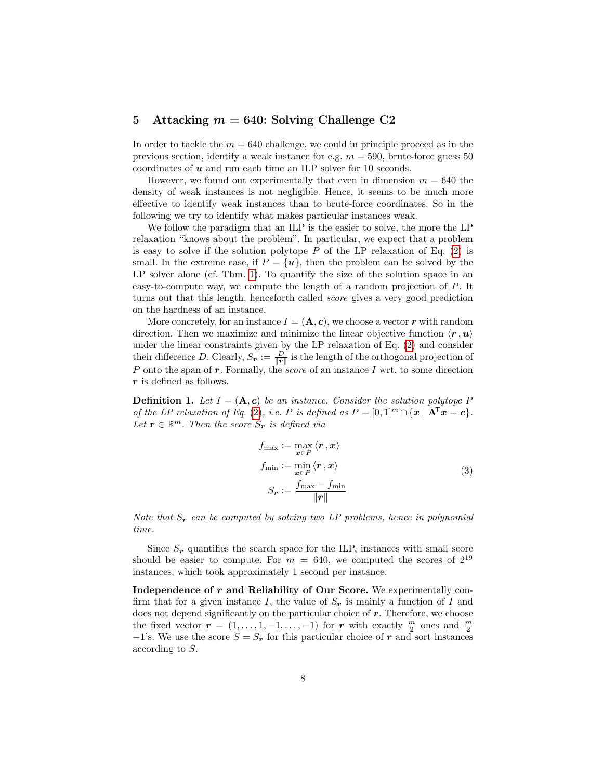## <span id="page-7-0"></span>5 Attacking  $m = 640$ : Solving Challenge C2

In order to tackle the  $m = 640$  challenge, we could in principle proceed as in the previous section, identify a weak instance for e.g.  $m = 590$ , brute-force guess 50 coordinates of  $u$  and run each time an ILP solver for 10 seconds.

However, we found out experimentally that even in dimension  $m = 640$  the density of weak instances is not negligible. Hence, it seems to be much more effective to identify weak instances than to brute-force coordinates. So in the following we try to identify what makes particular instances weak.

We follow the paradigm that an ILP is the easier to solve, the more the LP relaxation "knows about the problem". In particular, we expect that a problem is easy to solve if the solution polytope  $P$  of the LP relaxation of Eq. [\(2\)](#page-4-1) is small. In the extreme case, if  $P = \{u\}$ , then the problem can be solved by the LP solver alone (cf. Thm. [1\)](#page-6-0). To quantify the size of the solution space in an easy-to-compute way, we compute the length of a random projection of P. It turns out that this length, henceforth called score gives a very good prediction on the hardness of an instance.

More concretely, for an instance  $I = (\mathbf{A}, \mathbf{c})$ , we choose a vector r with random direction. Then we maximize and minimize the linear objective function  $\langle \mathbf{r}, \mathbf{u} \rangle$ under the linear constraints given by the LP relaxation of Eq. [\(2\)](#page-4-1) and consider their difference D. Clearly,  $S_r := \frac{D}{\|r\|}$  is the length of the orthogonal projection of P onto the span of  $r$ . Formally, the *score* of an instance I wrt. to some direction r is defined as follows.

**Definition 1.** Let  $I = (\mathbf{A}, \mathbf{c})$  be an instance. Consider the solution polytope P of the LP relaxation of Eq. [\(2\)](#page-4-1), i.e. P is defined as  $P = [0,1]^m \cap {\bf x} \mid {\bf A}^{\dagger} {\bf x} = {\bf c}$ . Let  $r \in \mathbb{R}^m$ . Then the score  $S_r$  is defined via

$$
f_{\max} := \max_{\boldsymbol{x} \in P} \langle \boldsymbol{r}, \boldsymbol{x} \rangle
$$
  
\n
$$
f_{\min} := \min_{\boldsymbol{x} \in P} \langle \boldsymbol{r}, \boldsymbol{x} \rangle
$$
  
\n
$$
S_{\boldsymbol{r}} := \frac{f_{\max} - f_{\min}}{\|\boldsymbol{r}\|}
$$
\n(3)

Note that  $S_r$  can be computed by solving two LP problems, hence in polynomial time.

Since  $S_r$  quantifies the search space for the ILP, instances with small score should be easier to compute. For  $m = 640$ , we computed the scores of  $2^{19}$ instances, which took approximately 1 second per instance.

Independence of  $r$  and Reliability of Our Score. We experimentally confirm that for a given instance I, the value of  $S_r$  is mainly a function of I and does not depend significantly on the particular choice of  $r$ . Therefore, we choose the fixed vector  $\mathbf{r} = (1, \ldots, 1, -1, \ldots, -1)$  for  $\mathbf{r}$  with exactly  $\frac{m}{2}$  ones and  $\frac{m}{2}$  $-1$ 's. We use the score  $S = S_r$  for this particular choice of r and sort instances according to S.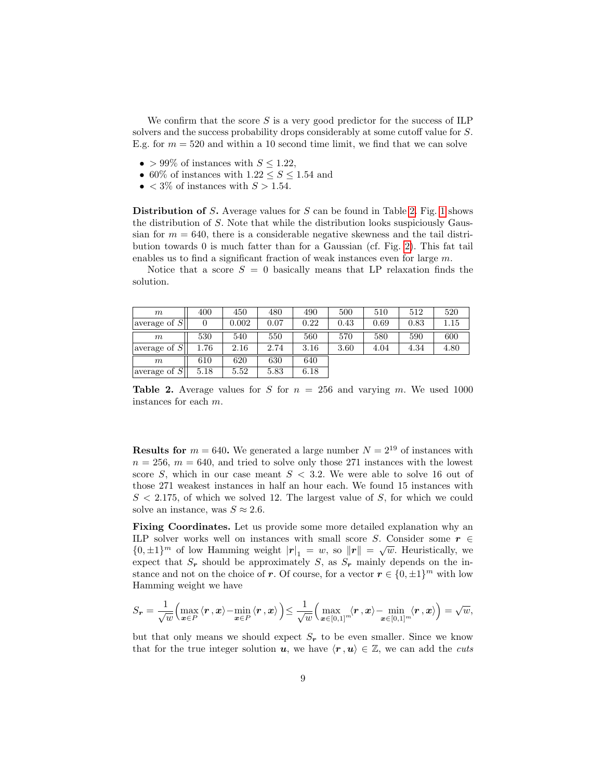We confirm that the score  $S$  is a very good predictor for the success of ILP solvers and the success probability drops considerably at some cutoff value for S. E.g. for  $m = 520$  and within a 10 second time limit, we find that we can solve

- > 99% of instances with  $S \leq 1.22$ ,
- 60% of instances with  $1.22 \leq S \leq 1.54$  and
- $\lt 3\%$  of instances with  $S > 1.54$ .

Distribution of  $S$ . Average values for  $S$  can be found in Table [2.](#page-8-0) Fig. [1](#page-9-0) shows the distribution of S. Note that while the distribution looks suspiciously Gaussian for  $m = 640$ , there is a considerable negative skewness and the tail distribution towards 0 is much fatter than for a Gaussian (cf. Fig. [2\)](#page-10-0). This fat tail enables us to find a significant fraction of weak instances even for large m.

Notice that a score  $S = 0$  basically means that LP relaxation finds the solution.

| m                             | 400  | 450   | 480  | 490  | 500  | 510  | 512  | 520  |
|-------------------------------|------|-------|------|------|------|------|------|------|
| laverage of $S$               |      | 0.002 | 0.07 | 0.22 | 0.43 | 0.69 | 0.83 | 1.15 |
| m                             | 530  | 540   | 550  | 560  | 570  | 580  | 590  | 600  |
| laverage of $\overline{S}$    | 1.76 | 2.16  | 2.74 | 3.16 | 3.60 | 4.04 | 4.34 | 4.80 |
| m                             | 610  | 620   | 630  | 640  |      |      |      |      |
| laverage of $\overline{S} _1$ | 5.18 | 5.52  | 5.83 | 6.18 |      |      |      |      |

<span id="page-8-0"></span>Table 2. Average values for S for  $n = 256$  and varying m. We used 1000 instances for each m.

**Results for**  $m = 640$ . We generated a large number  $N = 2^{19}$  of instances with  $n = 256$ ,  $m = 640$ , and tried to solve only those 271 instances with the lowest score S, which in our case meant  $S < 3.2$ . We were able to solve 16 out of those 271 weakest instances in half an hour each. We found 15 instances with  $S < 2.175$ , of which we solved 12. The largest value of S, for which we could solve an instance, was  $S \approx 2.6$ .

Fixing Coordinates. Let us provide some more detailed explanation why an ILP solver works well on instances with small score S. Consider some  $r \in$  $\{0,\pm 1\}^m$  of low Hamming weight  $|r|_1 = w$ , so  $||r|| = \sqrt{w}$ . Heuristically, we expect that  $S_r$  should be approximately S, as  $S_r$  mainly depends on the instance and not on the choice of r. Of course, for a vector  $r \in \{0, \pm 1\}^m$  with low Hamming weight we have

$$
S_{\bm{r}} = \frac{1}{\sqrt{w}} \Bigl( \max_{{\bm{x}} \in P} \langle {\bm{r}} \, , {\bm{x}} \rangle - \min_{{\bm{x}} \in P} \langle {\bm{r}} \, , {\bm{x}} \rangle \Bigr) \leq \frac{1}{\sqrt{w}} \Bigl( \max_{{\bm{x}} \in [0,1]^m} \langle {\bm{r}} \, , {\bm{x}} \rangle - \min_{{\bm{x}} \in [0,1]^m} \langle {\bm{r}} \, , {\bm{x}} \rangle \Bigr) = \sqrt{w},
$$

but that only means we should expect  $S_r$  to be even smaller. Since we know that for the true integer solution u, we have  $\langle \mathbf{r}, \mathbf{u} \rangle \in \mathbb{Z}$ , we can add the cuts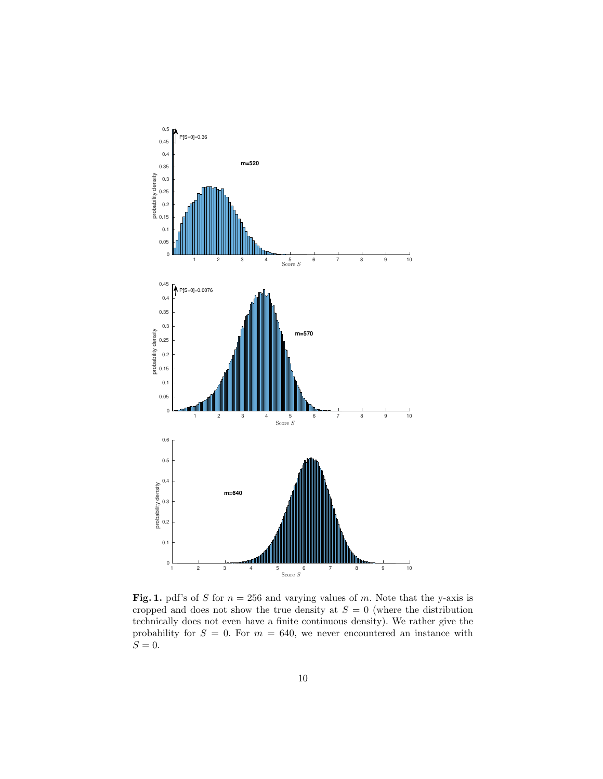

<span id="page-9-0"></span>Fig. 1. pdf's of S for  $n = 256$  and varying values of m. Note that the y-axis is cropped and does not show the true density at  $S = 0$  (where the distribution technically does not even have a finite continuous density). We rather give the probability for  $S = 0$ . For  $m = 640$ , we never encountered an instance with  $S=0.$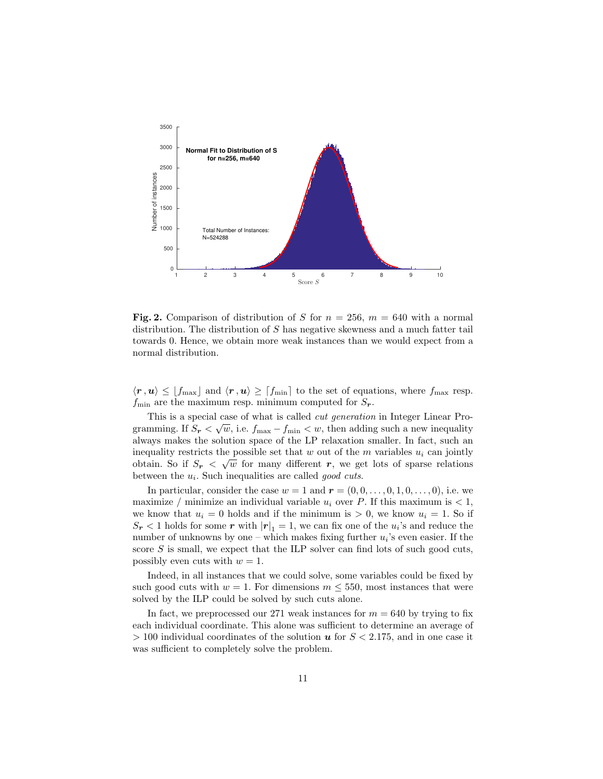

<span id="page-10-0"></span>Fig. 2. Comparison of distribution of S for  $n = 256$ ,  $m = 640$  with a normal distribution. The distribution of S has negative skewness and a much fatter tail towards 0. Hence, we obtain more weak instances than we would expect from a normal distribution.

 $\langle r, u \rangle \leq [f_{\text{max}}]$  and  $\langle r, u \rangle \geq [f_{\text{min}}]$  to the set of equations, where  $f_{\text{max}}$  resp.  $f_{\min}$  are the maximum resp. minimum computed for  $S_{r}$ .

This is a special case of what is called *cut generation* in Integer Linear Programming. If  $S_r < \sqrt{w}$ , i.e.  $f_{\text{max}} - f_{\text{min}} < w$ , then adding such a new inequality always makes the solution space of the LP relaxation smaller. In fact, such an inequality restricts the possible set that w out of the m variables  $u_i$  can jointly obtain. So if  $S_r < \sqrt{w}$  for many different r, we get lots of sparse relations between the  $u_i$ . Such inequalities are called *good cuts*.

In particular, consider the case  $w = 1$  and  $\mathbf{r} = (0, 0, \ldots, 0, 1, 0, \ldots, 0)$ , i.e. we maximize / minimize an individual variable  $u_i$  over P. If this maximum is  $< 1$ , we know that  $u_i = 0$  holds and if the minimum is  $> 0$ , we know  $u_i = 1$ . So if  $S_r < 1$  holds for some  $r$  with  $|r|_1 = 1$ , we can fix one of the  $u_i$ 's and reduce the number of unknowns by one – which makes fixing further  $u_i$ 's even easier. If the score  $S$  is small, we expect that the ILP solver can find lots of such good cuts, possibly even cuts with  $w = 1$ .

Indeed, in all instances that we could solve, some variables could be fixed by such good cuts with  $w = 1$ . For dimensions  $m \leq 550$ , most instances that were solved by the ILP could be solved by such cuts alone.

In fact, we preprocessed our 271 weak instances for  $m = 640$  by trying to fix each individual coordinate. This alone was sufficient to determine an average of  $> 100$  individual coordinates of the solution u for  $S < 2.175$ , and in one case it was sufficient to completely solve the problem.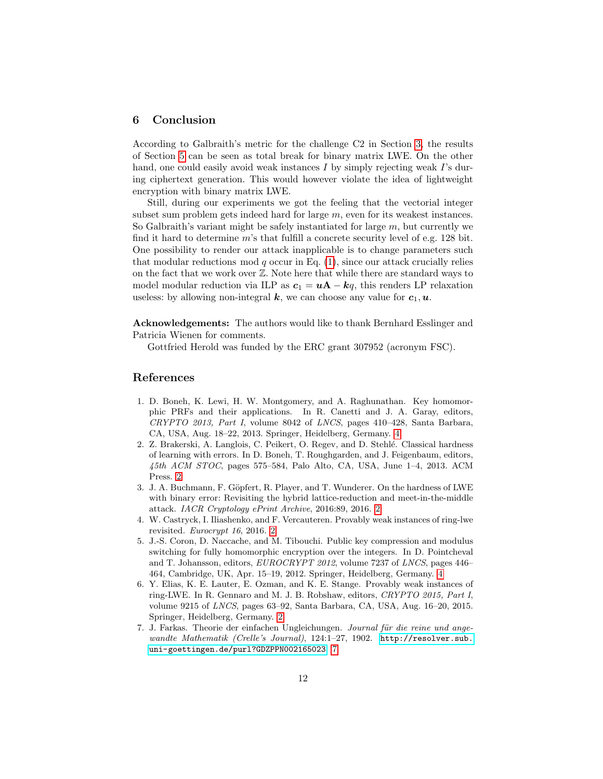#### 6 Conclusion

According to Galbraith's metric for the challenge C2 in Section [3,](#page-4-0) the results of Section [5](#page-7-0) can be seen as total break for binary matrix LWE. On the other hand, one could easily avoid weak instances  $I$  by simply rejecting weak  $I$ 's during ciphertext generation. This would however violate the idea of lightweight encryption with binary matrix LWE.

Still, during our experiments we got the feeling that the vectorial integer subset sum problem gets indeed hard for large m, even for its weakest instances. So Galbraith's variant might be safely instantiated for large  $m$ , but currently we find it hard to determine  $m$ 's that fulfill a concrete security level of e.g. 128 bit. One possibility to render our attack inapplicable is to change parameters such that modular reductions mod q occur in Eq.  $(1)$ , since our attack crucially relies on the fact that we work over Z. Note here that while there are standard ways to model modular reduction via ILP as  $c_1 = uA - kq$ , this renders LP relaxation useless: by allowing non-integral  $k$ , we can choose any value for  $c_1, u$ .

Acknowledgements: The authors would like to thank Bernhard Esslinger and Patricia Wienen for comments.

Gottfried Herold was funded by the ERC grant 307952 (acronym FSC).

### References

- <span id="page-11-5"></span>1. D. Boneh, K. Lewi, H. W. Montgomery, and A. Raghunathan. Key homomorphic PRFs and their applications. In R. Canetti and J. A. Garay, editors, CRYPTO 2013, Part I, volume 8042 of LNCS, pages 410–428, Santa Barbara, CA, USA, Aug. 18–22, 2013. Springer, Heidelberg, Germany. [4](#page-3-1)
- <span id="page-11-0"></span>2. Z. Brakerski, A. Langlois, C. Peikert, O. Regev, and D. Stehl´e. Classical hardness of learning with errors. In D. Boneh, T. Roughgarden, and J. Feigenbaum, editors, 45th ACM STOC, pages 575–584, Palo Alto, CA, USA, June 1–4, 2013. ACM Press. [2](#page-1-0)
- <span id="page-11-3"></span>3. J. A. Buchmann, F. Göpfert, R. Player, and T. Wunderer. On the hardness of LWE with binary error: Revisiting the hybrid lattice-reduction and meet-in-the-middle attack. IACR Cryptology ePrint Archive, 2016:89, 2016. [2](#page-1-0)
- <span id="page-11-2"></span>4. W. Castryck, I. Iliashenko, and F. Vercauteren. Provably weak instances of ring-lwe revisited. Eurocrypt 16, 2016. [2](#page-1-0)
- <span id="page-11-4"></span>5. J.-S. Coron, D. Naccache, and M. Tibouchi. Public key compression and modulus switching for fully homomorphic encryption over the integers. In D. Pointcheval and T. Johansson, editors, EUROCRYPT 2012, volume 7237 of LNCS, pages 446– 464, Cambridge, UK, Apr. 15–19, 2012. Springer, Heidelberg, Germany. [4](#page-3-1)
- <span id="page-11-1"></span>6. Y. Elias, K. E. Lauter, E. Ozman, and K. E. Stange. Provably weak instances of ring-LWE. In R. Gennaro and M. J. B. Robshaw, editors, CRYPTO 2015, Part I, volume 9215 of LNCS, pages 63–92, Santa Barbara, CA, USA, Aug. 16–20, 2015. Springer, Heidelberg, Germany. [2](#page-1-0)
- <span id="page-11-6"></span>7. J. Farkas. Theorie der einfachen Ungleichungen. Journal für die reine und angewandte Mathematik (Crelle's Journal), 124:1-27, 1902. [http://resolver.sub.](http://resolver.sub.uni-goettingen.de/purl?GDZPPN002165023) [uni-goettingen.de/purl?GDZPPN002165023](http://resolver.sub.uni-goettingen.de/purl?GDZPPN002165023). [7](#page-6-1)